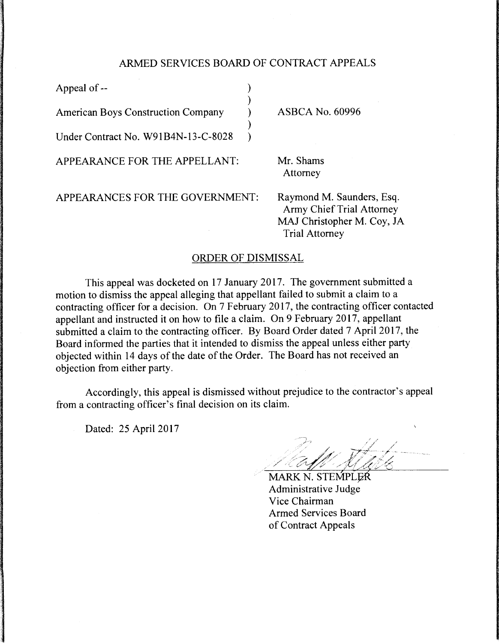## ARMED SERVICES BOARD OF CONTRACT APPEALS

| Appeal of --                              |                                                                                                                      |
|-------------------------------------------|----------------------------------------------------------------------------------------------------------------------|
| <b>American Boys Construction Company</b> | <b>ASBCA No. 60996</b>                                                                                               |
| Under Contract No. W91B4N-13-C-8028       |                                                                                                                      |
| APPEARANCE FOR THE APPELLANT:             | Mr. Shams<br>Attorney                                                                                                |
| APPEARANCES FOR THE GOVERNMENT:           | Raymond M. Saunders, Esq.<br><b>Army Chief Trial Attorney</b><br>MAJ Christopher M. Coy, JA<br><b>Trial Attorney</b> |

## ORDER OF DISMISSAL

This appeal was docketed on 17 January 2017. The government submitted a motion to dismiss the appeal alleging that appellant failed to submit a claim to a contracting officer for a decision. On 7 February 2017, the contracting officer contacted appellant and instructed it on how to file a claim. On 9 February 2017, appellant submitted a claim to the contracting officer. By Board Order dated 7 April 2017, the Board informed the parties that it intended to dismiss the appeal unless either party objected within 14 days of the date of the Order. The Board has not received an objection from either party.

Accordingly, this appeal is dismissed without prejudice to the contractor's appeal from a contracting officer's final decision on its claim.

Dated: 25 April 2017

MARK N. STEMPLER Administrative Judge Vice Chairman Armed Services Board of Contract Appeals